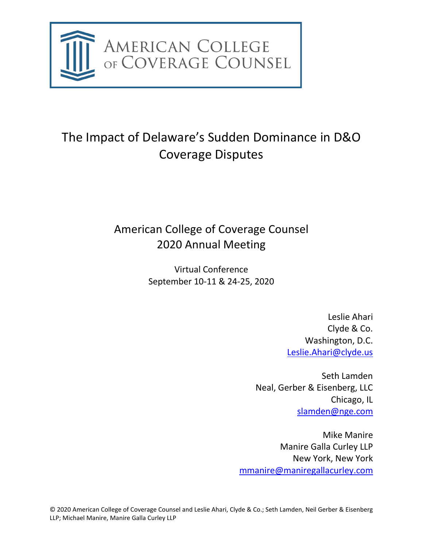

# The Impact of Delaware's Sudden Dominance in D&O Coverage Disputes

## American College of Coverage Counsel 2020 Annual Meeting

Virtual Conference September 10-11 & 24-25, 2020

> Leslie Ahari Clyde & Co. Washington, D.C. [Leslie.Ahari@clyde.us](mailto:Leslie.Ahari@clyde.us)

Seth Lamden Neal, Gerber & Eisenberg, LLC Chicago, IL [slamden@nge.com](mailto:slamden@nge.com)

Mike Manire Manire Galla Curley LLP New York, New York [mmanire@maniregallacurley.com](mailto:mmanire@maniregallacurley.com)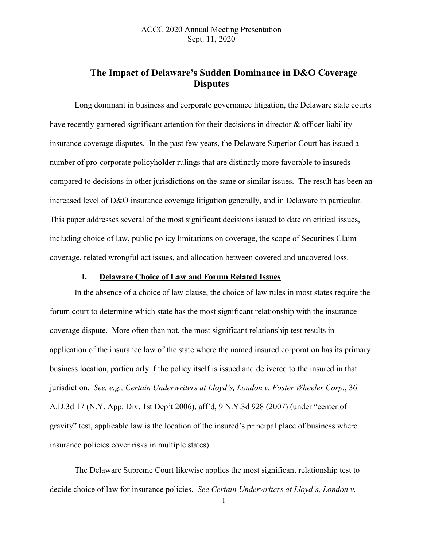### **The Impact of Delaware's Sudden Dominance in D&O Coverage Disputes**

Long dominant in business and corporate governance litigation, the Delaware state courts have recently garnered significant attention for their decisions in director & officer liability insurance coverage disputes. In the past few years, the Delaware Superior Court has issued a number of pro-corporate policyholder rulings that are distinctly more favorable to insureds compared to decisions in other jurisdictions on the same or similar issues. The result has been an increased level of D&O insurance coverage litigation generally, and in Delaware in particular. This paper addresses several of the most significant decisions issued to date on critical issues, including choice of law, public policy limitations on coverage, the scope of Securities Claim coverage, related wrongful act issues, and allocation between covered and uncovered loss.

#### **I. Delaware Choice of Law and Forum Related Issues**

In the absence of a choice of law clause, the choice of law rules in most states require the forum court to determine which state has the most significant relationship with the insurance coverage dispute. More often than not, the most significant relationship test results in application of the insurance law of the state where the named insured corporation has its primary business location, particularly if the policy itself is issued and delivered to the insured in that jurisdiction. *See, e.g., Certain Underwriters at Lloyd's, London v. Foster Wheeler Corp.*, 36 A.D.3d 17 (N.Y. App. Div. 1st Dep't 2006), aff'd, 9 N.Y.3d 928 (2007) (under "center of gravity" test, applicable law is the location of the insured's principal place of business where insurance policies cover risks in multiple states).

The Delaware Supreme Court likewise applies the most significant relationship test to decide choice of law for insurance policies. *See Certain Underwriters at Lloyd's, London v.* 

- 1 -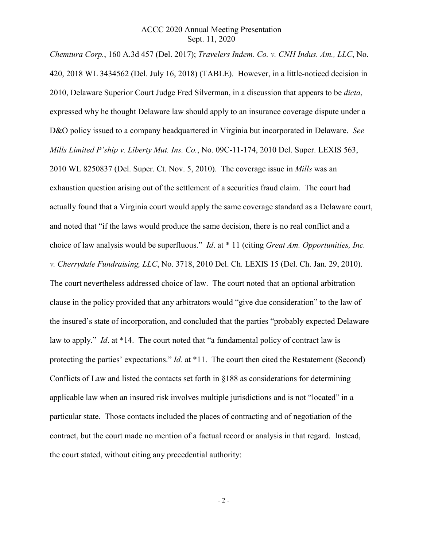*Chemtura Corp.*, 160 A.3d 457 (Del. 2017); *Travelers Indem. Co. v. CNH Indus. Am., LLC*, No. 420, 2018 WL 3434562 (Del. July 16, 2018) (TABLE). However, in a little-noticed decision in 2010, Delaware Superior Court Judge Fred Silverman, in a discussion that appears to be *dicta*, expressed why he thought Delaware law should apply to an insurance coverage dispute under a D&O policy issued to a company headquartered in Virginia but incorporated in Delaware. *See Mills Limited P'ship v. Liberty Mut. Ins. Co.*, No. 09C-11-174, 2010 Del. Super. LEXIS 563, 2010 WL 8250837 (Del. Super. Ct. Nov. 5, 2010). The coverage issue in *Mills* was an exhaustion question arising out of the settlement of a securities fraud claim. The court had actually found that a Virginia court would apply the same coverage standard as a Delaware court, and noted that "if the laws would produce the same decision, there is no real conflict and a choice of law analysis would be superfluous." *Id*. at \* 11 (citing *Great Am. Opportunities, Inc. v. Cherrydale Fundraising, LLC*, No. 3718, 2010 Del. Ch. LEXIS 15 (Del. Ch. Jan. 29, 2010). The court nevertheless addressed choice of law. The court noted that an optional arbitration clause in the policy provided that any arbitrators would "give due consideration" to the law of the insured's state of incorporation, and concluded that the parties "probably expected Delaware law to apply." *Id*. at \*14. The court noted that "a fundamental policy of contract law is protecting the parties' expectations." *Id.* at \*11. The court then cited the Restatement (Second) Conflicts of Law and listed the contacts set forth in §188 as considerations for determining applicable law when an insured risk involves multiple jurisdictions and is not "located" in a particular state. Those contacts included the places of contracting and of negotiation of the contract, but the court made no mention of a factual record or analysis in that regard. Instead, the court stated, without citing any precedential authority: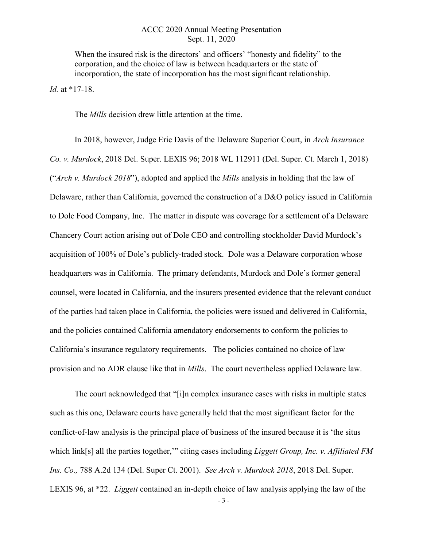When the insured risk is the directors' and officers' "honesty and fidelity" to the corporation, and the choice of law is between headquarters or the state of incorporation, the state of incorporation has the most significant relationship.

*Id.* at \*17-18.

The *Mills* decision drew little attention at the time.

In 2018, however, Judge Eric Davis of the Delaware Superior Court, in *Arch Insurance Co. v. Murdock*, 2018 Del. Super. LEXIS 96; 2018 WL 112911 (Del. Super. Ct. March 1, 2018) ("*Arch v. Murdock 2018*"), adopted and applied the *Mills* analysis in holding that the law of Delaware, rather than California, governed the construction of a D&O policy issued in California to Dole Food Company, Inc. The matter in dispute was coverage for a settlement of a Delaware Chancery Court action arising out of Dole CEO and controlling stockholder David Murdock's acquisition of 100% of Dole's publicly-traded stock. Dole was a Delaware corporation whose headquarters was in California. The primary defendants, Murdock and Dole's former general counsel, were located in California, and the insurers presented evidence that the relevant conduct of the parties had taken place in California, the policies were issued and delivered in California, and the policies contained California amendatory endorsements to conform the policies to California's insurance regulatory requirements. The policies contained no choice of law provision and no ADR clause like that in *Mills*. The court nevertheless applied Delaware law.

The court acknowledged that "[i]n complex insurance cases with risks in multiple states such as this one, Delaware courts have generally held that the most significant factor for the conflict-of-law analysis is the principal place of business of the insured because it is 'the situs which link[s] all the parties together,'" citing cases including *Liggett Group, Inc. v. Affiliated FM Ins. Co.,* 788 A.2d 134 (Del. Super Ct. 2001). *See Arch v. Murdock 2018*, 2018 Del. Super. LEXIS 96, at \*22. *Liggett* contained an in-depth choice of law analysis applying the law of the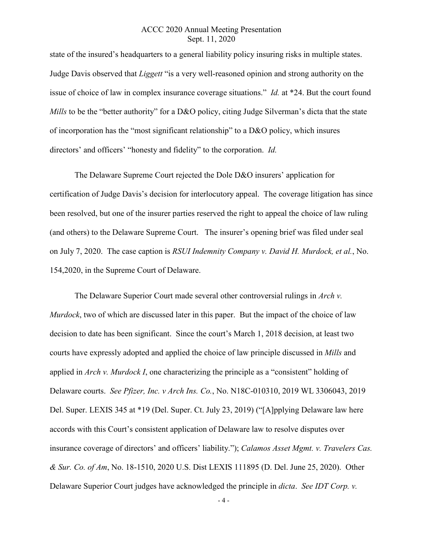state of the insured's headquarters to a general liability policy insuring risks in multiple states. Judge Davis observed that *Liggett* "is a very well-reasoned opinion and strong authority on the issue of choice of law in complex insurance coverage situations." *Id.* at \*24. But the court found *Mills* to be the "better authority" for a D&O policy, citing Judge Silverman's dicta that the state of incorporation has the "most significant relationship" to a D&O policy, which insures directors' and officers' "honesty and fidelity" to the corporation. *Id.*

The Delaware Supreme Court rejected the Dole D&O insurers' application for certification of Judge Davis's decision for interlocutory appeal. The coverage litigation has since been resolved, but one of the insurer parties reserved the right to appeal the choice of law ruling (and others) to the Delaware Supreme Court. The insurer's opening brief was filed under seal on July 7, 2020. The case caption is *RSUI Indemnity Company v. David H. Murdock, et al.*, No. 154,2020, in the Supreme Court of Delaware.

The Delaware Superior Court made several other controversial rulings in *Arch v. Murdock*, two of which are discussed later in this paper. But the impact of the choice of law decision to date has been significant. Since the court's March 1, 2018 decision, at least two courts have expressly adopted and applied the choice of law principle discussed in *Mills* and applied in *Arch v. Murdock I*, one characterizing the principle as a "consistent" holding of Delaware courts. *See Pfizer, Inc. v Arch Ins. Co.*, No. N18C-010310, 2019 WL 3306043, 2019 Del. Super. LEXIS 345 at \*19 (Del. Super. Ct. July 23, 2019) ("[A]pplying Delaware law here accords with this Court's consistent application of Delaware law to resolve disputes over insurance coverage of directors' and officers' liability."); *Calamos Asset Mgmt. v. Travelers Cas. & Sur. Co. of Am*, No. 18-1510, 2020 U.S. Dist LEXIS 111895 (D. Del. June 25, 2020). Other Delaware Superior Court judges have acknowledged the principle in *dicta*. *See IDT Corp. v.* 

- 4 -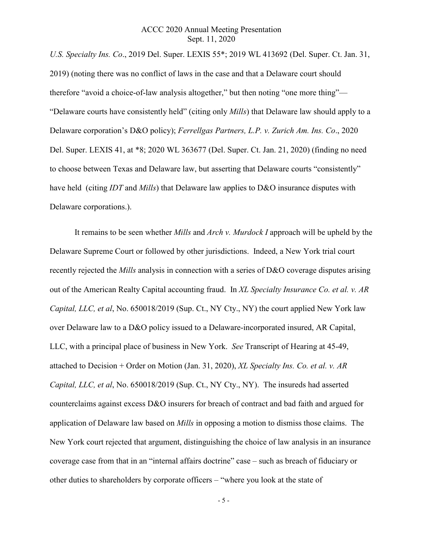*U.S. Specialty Ins. Co*., 2019 Del. Super. LEXIS 55\*; 2019 WL 413692 (Del. Super. Ct. Jan. 31, 2019) (noting there was no conflict of laws in the case and that a Delaware court should therefore "avoid a choice-of-law analysis altogether," but then noting "one more thing"— "Delaware courts have consistently held" (citing only *Mills*) that Delaware law should apply to a Delaware corporation's D&O policy); *Ferrellgas Partners, L.P. v. Zurich Am. Ins. Co*., 2020 Del. Super. LEXIS 41, at \*8; 2020 WL 363677 (Del. Super. Ct. Jan. 21, 2020) (finding no need to choose between Texas and Delaware law, but asserting that Delaware courts "consistently" have held (citing *IDT* and *Mills*) that Delaware law applies to D&O insurance disputes with Delaware corporations.).

It remains to be seen whether *Mills* and *Arch v. Murdock I* approach will be upheld by the Delaware Supreme Court or followed by other jurisdictions. Indeed, a New York trial court recently rejected the *Mills* analysis in connection with a series of D&O coverage disputes arising out of the American Realty Capital accounting fraud. In *XL Specialty Insurance Co. et al. v. AR Capital, LLC, et al*, No. 650018/2019 (Sup. Ct., NY Cty., NY) the court applied New York law over Delaware law to a D&O policy issued to a Delaware-incorporated insured, AR Capital, LLC, with a principal place of business in New York. *See* Transcript of Hearing at 45-49, attached to Decision + Order on Motion (Jan. 31, 2020), *XL Specialty Ins. Co. et al. v. AR Capital, LLC, et al*, No. 650018/2019 (Sup. Ct., NY Cty., NY). The insureds had asserted counterclaims against excess D&O insurers for breach of contract and bad faith and argued for application of Delaware law based on *Mills* in opposing a motion to dismiss those claims. The New York court rejected that argument, distinguishing the choice of law analysis in an insurance coverage case from that in an "internal affairs doctrine" case – such as breach of fiduciary or other duties to shareholders by corporate officers – "where you look at the state of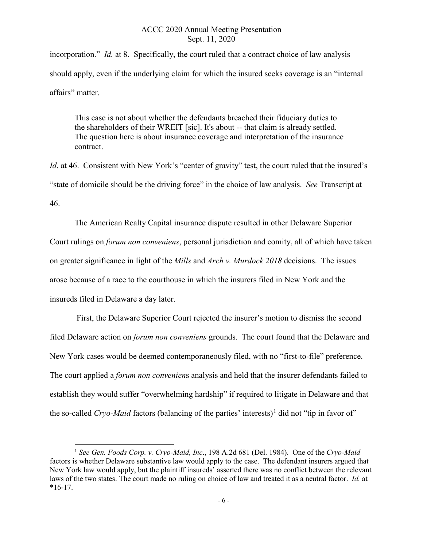incorporation." *Id.* at 8. Specifically, the court ruled that a contract choice of law analysis should apply, even if the underlying claim for which the insured seeks coverage is an "internal affairs" matter.

This case is not about whether the defendants breached their fiduciary duties to the shareholders of their WREIT [sic]. It's about -- that claim is already settled. The question here is about insurance coverage and interpretation of the insurance contract.

*Id.* at 46. Consistent with New York's "center of gravity" test, the court ruled that the insured's "state of domicile should be the driving force" in the choice of law analysis. *See* Transcript at 46.

The American Realty Capital insurance dispute resulted in other Delaware Superior Court rulings on *forum non conveniens*, personal jurisdiction and comity, all of which have taken on greater significance in light of the *Mills* and *Arch v. Murdock 2018* decisions. The issues arose because of a race to the courthouse in which the insurers filed in New York and the insureds filed in Delaware a day later.

First, the Delaware Superior Court rejected the insurer's motion to dismiss the second filed Delaware action on *forum non conveniens* grounds. The court found that the Delaware and New York cases would be deemed contemporaneously filed, with no "first-to-file" preference. The court applied a *forum non convenien*s analysis and held that the insurer defendants failed to establish they would suffer "overwhelming hardship" if required to litigate in Delaware and that the so-called *Cryo-Maid* factors (balancing of the parties' interests)<sup>[1](#page-6-0)</sup> did not "tip in favor of"

<span id="page-6-0"></span> <sup>1</sup> *See Gen. Foods Corp. v. Cryo-Maid, Inc*., 198 A.2d 681 (Del. 1984). One of the *Cryo-Maid*  factors is whether Delaware substantive law would apply to the case. The defendant insurers argued that New York law would apply, but the plaintiff insureds' asserted there was no conflict between the relevant laws of the two states. The court made no ruling on choice of law and treated it as a neutral factor. *Id.* at  $*16-17.$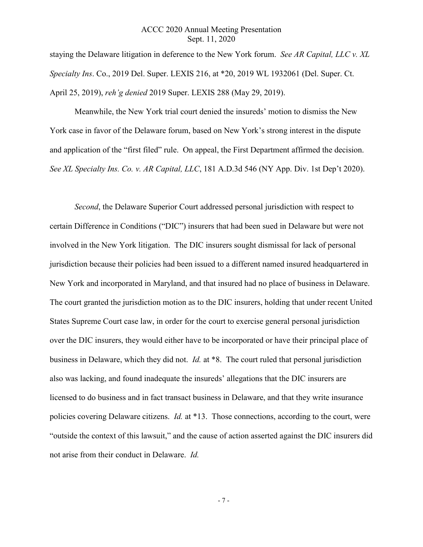staying the Delaware litigation in deference to the New York forum. *See AR Capital, LLC v. XL Specialty Ins*. Co., 2019 Del. Super. LEXIS 216, at \*20, 2019 WL 1932061 (Del. Super. Ct. April 25, 2019), *reh'g denied* 2019 Super. LEXIS 288 (May 29, 2019).

Meanwhile, the New York trial court denied the insureds' motion to dismiss the New York case in favor of the Delaware forum, based on New York's strong interest in the dispute and application of the "first filed" rule. On appeal, the First Department affirmed the decision. *See XL Specialty Ins. Co. v. AR Capital, LLC*, 181 A.D.3d 546 (NY App. Div. 1st Dep't 2020).

*Second*, the Delaware Superior Court addressed personal jurisdiction with respect to certain Difference in Conditions ("DIC") insurers that had been sued in Delaware but were not involved in the New York litigation. The DIC insurers sought dismissal for lack of personal jurisdiction because their policies had been issued to a different named insured headquartered in New York and incorporated in Maryland, and that insured had no place of business in Delaware. The court granted the jurisdiction motion as to the DIC insurers, holding that under recent United States Supreme Court case law, in order for the court to exercise general personal jurisdiction over the DIC insurers, they would either have to be incorporated or have their principal place of business in Delaware, which they did not. *Id.* at \*8. The court ruled that personal jurisdiction also was lacking, and found inadequate the insureds' allegations that the DIC insurers are licensed to do business and in fact transact business in Delaware, and that they write insurance policies covering Delaware citizens. *Id.* at \*13. Those connections, according to the court, were "outside the context of this lawsuit," and the cause of action asserted against the DIC insurers did not arise from their conduct in Delaware. *Id.*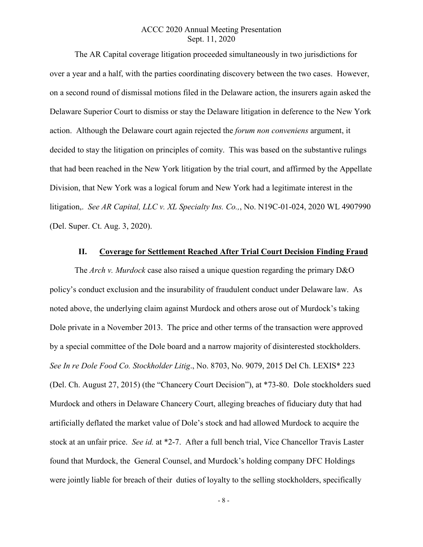The AR Capital coverage litigation proceeded simultaneously in two jurisdictions for over a year and a half, with the parties coordinating discovery between the two cases. However, on a second round of dismissal motions filed in the Delaware action, the insurers again asked the Delaware Superior Court to dismiss or stay the Delaware litigation in deference to the New York action. Although the Delaware court again rejected the *forum non conveniens* argument, it decided to stay the litigation on principles of comity. This was based on the substantive rulings that had been reached in the New York litigation by the trial court, and affirmed by the Appellate Division, that New York was a logical forum and New York had a legitimate interest in the litigation,. *See AR Capital, LLC v. XL Specialty Ins. Co.,*, No. N19C-01-024, 2020 WL 4907990 (Del. Super. Ct. Aug. 3, 2020).

#### **II. Coverage for Settlement Reached After Trial Court Decision Finding Fraud**

The *Arch v. Murdock* case also raised a unique question regarding the primary D&O policy's conduct exclusion and the insurability of fraudulent conduct under Delaware law. As noted above, the underlying claim against Murdock and others arose out of Murdock's taking Dole private in a November 2013. The price and other terms of the transaction were approved by a special committee of the Dole board and a narrow majority of disinterested stockholders. *See In re Dole Food Co. Stockholder Litig*., No. 8703, No. 9079, 2015 Del Ch. LEXIS\* 223 (Del. Ch. August 27, 2015) (the "Chancery Court Decision"), at \*73-80. Dole stockholders sued Murdock and others in Delaware Chancery Court, alleging breaches of fiduciary duty that had artificially deflated the market value of Dole's stock and had allowed Murdock to acquire the stock at an unfair price. *See id.* at \*2-7. After a full bench trial, Vice Chancellor Travis Laster found that Murdock, the General Counsel, and Murdock's holding company DFC Holdings were jointly liable for breach of their duties of loyalty to the selling stockholders, specifically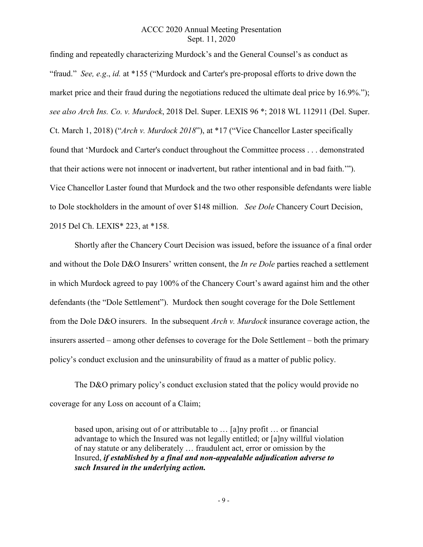finding and repeatedly characterizing Murdock's and the General Counsel's as conduct as "fraud." *See, e.g*., *id.* at \*155 ("Murdock and Carter's pre-proposal efforts to drive down the market price and their fraud during the negotiations reduced the ultimate deal price by 16.9%."); *see also Arch Ins. Co. v. Murdock*, 2018 Del. Super. LEXIS 96 \*; 2018 WL 112911 (Del. Super. Ct. March 1, 2018) ("*Arch v. Murdock 2018*"), at \*17 ("Vice Chancellor Laster specifically found that 'Murdock and Carter's conduct throughout the Committee process . . . demonstrated that their actions were not innocent or inadvertent, but rather intentional and in bad faith.'"). Vice Chancellor Laster found that Murdock and the two other responsible defendants were liable to Dole stockholders in the amount of over \$148 million. *See Dole* Chancery Court Decision, 2015 Del Ch. LEXIS\* 223, at \*158.

Shortly after the Chancery Court Decision was issued, before the issuance of a final order and without the Dole D&O Insurers' written consent, the *In re Dole* parties reached a settlement in which Murdock agreed to pay 100% of the Chancery Court's award against him and the other defendants (the "Dole Settlement"). Murdock then sought coverage for the Dole Settlement from the Dole D&O insurers. In the subsequent *Arch v. Murdock* insurance coverage action, the insurers asserted – among other defenses to coverage for the Dole Settlement – both the primary policy's conduct exclusion and the uninsurability of fraud as a matter of public policy.

The D&O primary policy's conduct exclusion stated that the policy would provide no coverage for any Loss on account of a Claim;

based upon, arising out of or attributable to … [a]ny profit … or financial advantage to which the Insured was not legally entitled; or [a]ny willful violation of nay statute or any deliberately … fraudulent act, error or omission by the Insured, *if established by a final and non-appealable adjudication adverse to such Insured in the underlying action.*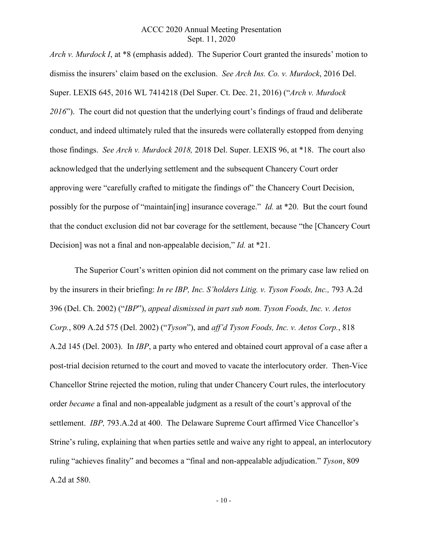*Arch v. Murdock I*, at \*8 (emphasis added). The Superior Court granted the insureds' motion to dismiss the insurers' claim based on the exclusion. *See Arch Ins. Co. v. Murdock*, 2016 Del. Super. LEXIS 645, 2016 WL 7414218 (Del Super. Ct. Dec. 21, 2016) ("*Arch v. Murdock 2016*"). The court did not question that the underlying court's findings of fraud and deliberate conduct, and indeed ultimately ruled that the insureds were collaterally estopped from denying those findings. *See Arch v. Murdock 2018,* 2018 Del. Super. LEXIS 96, at \*18. The court also acknowledged that the underlying settlement and the subsequent Chancery Court order approving were "carefully crafted to mitigate the findings of" the Chancery Court Decision, possibly for the purpose of "maintain[ing] insurance coverage." *Id.* at \*20. But the court found that the conduct exclusion did not bar coverage for the settlement, because "the [Chancery Court Decision] was not a final and non-appealable decision," *Id.* at \*21.

The Superior Court's written opinion did not comment on the primary case law relied on by the insurers in their briefing: *In re IBP, Inc. S'holders Litig. v. Tyson Foods, Inc.,* 793 A.2d 396 (Del. Ch. 2002) ("*IBP*"), *appeal dismissed in part sub nom. Tyson Foods, Inc. v. Aetos Corp.*, 809 A.2d 575 (Del. 2002) ("*Tyson*"), and *aff'd Tyson Foods, Inc. v. Aetos Corp.*, 818 A.2d 145 (Del. 2003). In *IBP*, a party who entered and obtained court approval of a case after a post-trial decision returned to the court and moved to vacate the interlocutory order. Then-Vice Chancellor Strine rejected the motion, ruling that under Chancery Court rules, the interlocutory order *became* a final and non-appealable judgment as a result of the court's approval of the settlement. *IBP,* 793.A.2d at 400. The Delaware Supreme Court affirmed Vice Chancellor's Strine's ruling, explaining that when parties settle and waive any right to appeal, an interlocutory ruling "achieves finality" and becomes a "final and non-appealable adjudication." *Tyson*, 809 A.2d at 580.

- 10 -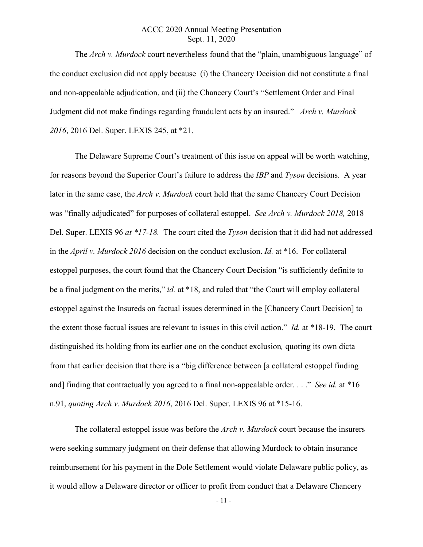The *Arch v. Murdock* court nevertheless found that the "plain, unambiguous language" of the conduct exclusion did not apply because (i) the Chancery Decision did not constitute a final and non-appealable adjudication, and (ii) the Chancery Court's "Settlement Order and Final Judgment did not make findings regarding fraudulent acts by an insured." *Arch v. Murdock 2016*, 2016 Del. Super. LEXIS 245, at \*21.

The Delaware Supreme Court's treatment of this issue on appeal will be worth watching, for reasons beyond the Superior Court's failure to address the *IBP* and *Tyson* decisions. A year later in the same case, the *Arch v. Murdock* court held that the same Chancery Court Decision was "finally adjudicated" for purposes of collateral estoppel. *See Arch v. Murdock 2018,* 2018 Del. Super. LEXIS 96 *at \*17-18.* The court cited the *Tyson* decision that it did had not addressed in the *April v. Murdock 2016* decision on the conduct exclusion. *Id.* at \*16. For collateral estoppel purposes, the court found that the Chancery Court Decision "is sufficiently definite to be a final judgment on the merits," *id.* at \*18, and ruled that "the Court will employ collateral estoppel against the Insureds on factual issues determined in the [Chancery Court Decision] to the extent those factual issues are relevant to issues in this civil action." *Id.* at \*18-19. The court distinguished its holding from its earlier one on the conduct exclusion*,* quoting its own dicta from that earlier decision that there is a "big difference between [a collateral estoppel finding and] finding that contractually you agreed to a final non-appealable order. . . ." *See id.* at \*16 n.91, *quoting Arch v. Murdock 2016*, 2016 Del. Super. LEXIS 96 at \*15-16.

The collateral estoppel issue was before the *Arch v. Murdock* court because the insurers were seeking summary judgment on their defense that allowing Murdock to obtain insurance reimbursement for his payment in the Dole Settlement would violate Delaware public policy, as it would allow a Delaware director or officer to profit from conduct that a Delaware Chancery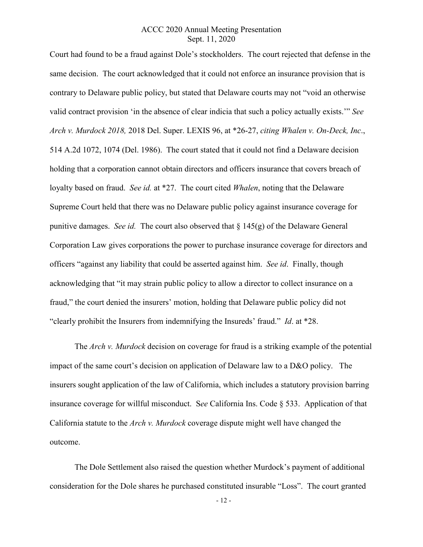Court had found to be a fraud against Dole's stockholders. The court rejected that defense in the same decision. The court acknowledged that it could not enforce an insurance provision that is contrary to Delaware public policy, but stated that Delaware courts may not "void an otherwise valid contract provision 'in the absence of clear indicia that such a policy actually exists.'" *See Arch v. Murdock 2018,* 2018 Del. Super. LEXIS 96, at \*26-27, *citing Whalen v. On-Deck, Inc*., 514 A.2d 1072, 1074 (Del. 1986). The court stated that it could not find a Delaware decision holding that a corporation cannot obtain directors and officers insurance that covers breach of loyalty based on fraud. *See id.* at \*27. The court cited *Whalen*, noting that the Delaware Supreme Court held that there was no Delaware public policy against insurance coverage for punitive damages. *See id.* The court also observed that  $\S 145(g)$  of the Delaware General Corporation Law gives corporations the power to purchase insurance coverage for directors and officers "against any liability that could be asserted against him. *See id*. Finally, though acknowledging that "it may strain public policy to allow a director to collect insurance on a fraud," the court denied the insurers' motion, holding that Delaware public policy did not "clearly prohibit the Insurers from indemnifying the Insureds' fraud." *Id*. at \*28.

The *Arch v. Murdock* decision on coverage for fraud is a striking example of the potential impact of the same court's decision on application of Delaware law to a D&O policy. The insurers sought application of the law of California, which includes a statutory provision barring insurance coverage for willful misconduct. S*ee* California Ins. Code § 533. Application of that California statute to the *Arch v. Murdock* coverage dispute might well have changed the outcome.

The Dole Settlement also raised the question whether Murdock's payment of additional consideration for the Dole shares he purchased constituted insurable "Loss". The court granted

- 12 -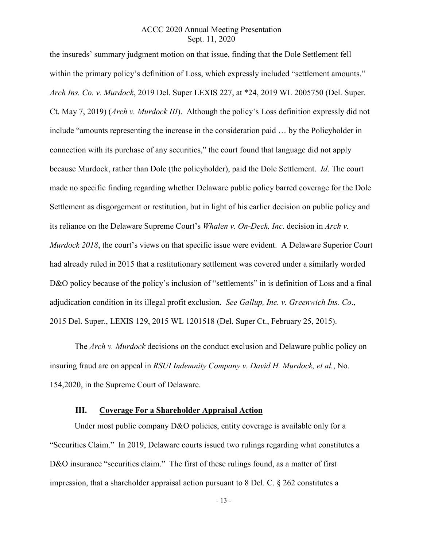the insureds' summary judgment motion on that issue, finding that the Dole Settlement fell within the primary policy's definition of Loss, which expressly included "settlement amounts." *Arch Ins. Co. v. Murdock*, 2019 Del. Super LEXIS 227, at \*24, 2019 WL 2005750 (Del. Super. Ct. May 7, 2019) (*Arch v. Murdock III*). Although the policy's Loss definition expressly did not include "amounts representing the increase in the consideration paid … by the Policyholder in connection with its purchase of any securities," the court found that language did not apply because Murdock, rather than Dole (the policyholder), paid the Dole Settlement. *Id*. The court made no specific finding regarding whether Delaware public policy barred coverage for the Dole Settlement as disgorgement or restitution, but in light of his earlier decision on public policy and its reliance on the Delaware Supreme Court's *Whalen v. On-Deck, Inc*. decision in *Arch v. Murdock 2018*, the court's views on that specific issue were evident. A Delaware Superior Court had already ruled in 2015 that a restitutionary settlement was covered under a similarly worded D&O policy because of the policy's inclusion of "settlements" in is definition of Loss and a final adjudication condition in its illegal profit exclusion. *See Gallup, Inc. v. Greenwich Ins. Co*., 2015 Del. Super., LEXIS 129, 2015 WL 1201518 (Del. Super Ct., February 25, 2015).

The *Arch v. Murdock* decisions on the conduct exclusion and Delaware public policy on insuring fraud are on appeal in *RSUI Indemnity Company v. David H. Murdock, et al.*, No. 154,2020, in the Supreme Court of Delaware.

#### **III. Coverage For a Shareholder Appraisal Action**

Under most public company D&O policies, entity coverage is available only for a "Securities Claim." In 2019, Delaware courts issued two rulings regarding what constitutes a D&O insurance "securities claim." The first of these rulings found, as a matter of first impression, that a shareholder appraisal action pursuant to 8 Del. C. § 262 constitutes a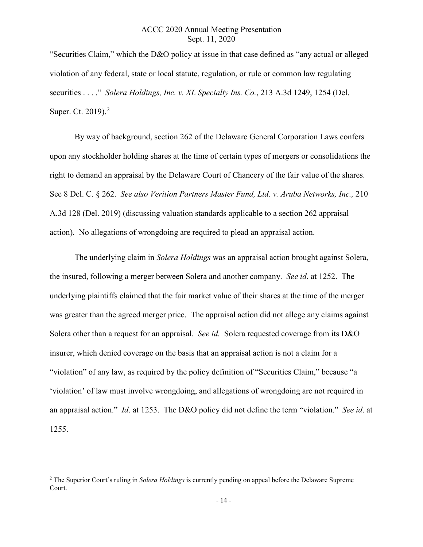"Securities Claim," which the D&O policy at issue in that case defined as "any actual or alleged violation of any federal, state or local statute, regulation, or rule or common law regulating securities . . . ." *Solera Holdings, Inc. v. XL Specialty Ins. Co.*, 213 A.3d 1249, 1254 (Del. Super. Ct. [2](#page-14-0)019).<sup>2</sup>

By way of background, section 262 of the Delaware General Corporation Laws confers upon any stockholder holding shares at the time of certain types of mergers or consolidations the right to demand an appraisal by the Delaware Court of Chancery of the fair value of the shares. See 8 Del. C. § 262. *See also Verition Partners Master Fund, Ltd. v. Aruba Networks, Inc.,* 210 A.3d 128 (Del. 2019) (discussing valuation standards applicable to a section 262 appraisal action). No allegations of wrongdoing are required to plead an appraisal action.

The underlying claim in *Solera Holdings* was an appraisal action brought against Solera, the insured, following a merger between Solera and another company. *See id*. at 1252. The underlying plaintiffs claimed that the fair market value of their shares at the time of the merger was greater than the agreed merger price. The appraisal action did not allege any claims against Solera other than a request for an appraisal. *See id.* Solera requested coverage from its D&O insurer, which denied coverage on the basis that an appraisal action is not a claim for a "violation" of any law, as required by the policy definition of "Securities Claim," because "a 'violation' of law must involve wrongdoing, and allegations of wrongdoing are not required in an appraisal action." *Id*. at 1253. The D&O policy did not define the term "violation." *See id*. at 1255.

<span id="page-14-0"></span> <sup>2</sup> The Superior Court's ruling in *Solera Holdings* is currently pending on appeal before the Delaware Supreme Court.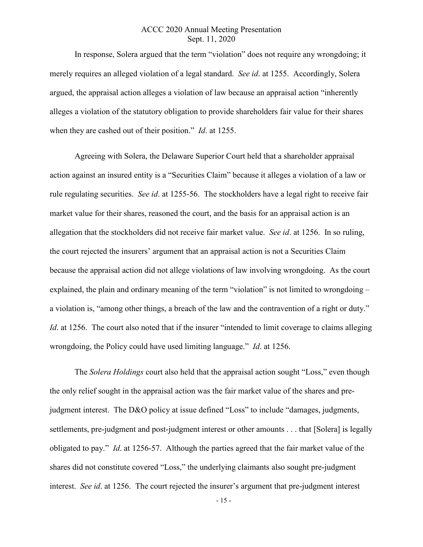In response, Solera argued that the term "violation" does not require any wrongdoing; it merely requires an alleged violation of a legal standard. *See id*. at 1255. Accordingly, Solera argued, the appraisal action alleges a violation of law because an appraisal action "inherently alleges a violation of the statutory obligation to provide shareholders fair value for their shares when they are cashed out of their position." *Id*. at 1255.

Agreeing with Solera, the Delaware Superior Court held that a shareholder appraisal action against an insured entity is a "Securities Claim" because it alleges a violation of a law or rule regulating securities. *See id*. at 1255-56. The stockholders have a legal right to receive fair market value for their shares, reasoned the court, and the basis for an appraisal action is an allegation that the stockholders did not receive fair market value. *See id*. at 1256. In so ruling, the court rejected the insurers' argument that an appraisal action is not a Securities Claim because the appraisal action did not allege violations of law involving wrongdoing. As the court explained, the plain and ordinary meaning of the term "violation" is not limited to wrongdoing – a violation is, "among other things, a breach of the law and the contravention of a right or duty." *Id.* at 1256. The court also noted that if the insurer "intended to limit coverage to claims alleging wrongdoing, the Policy could have used limiting language." *Id*. at 1256.

The *Solera Holdings* court also held that the appraisal action sought "Loss," even though the only relief sought in the appraisal action was the fair market value of the shares and prejudgment interest. The D&O policy at issue defined "Loss" to include "damages, judgments, settlements, pre-judgment and post-judgment interest or other amounts . . . that [Solera] is legally obligated to pay." *Id*. at 1256-57. Although the parties agreed that the fair market value of the shares did not constitute covered "Loss," the underlying claimants also sought pre-judgment interest. *See id*. at 1256. The court rejected the insurer's argument that pre-judgment interest

- 15 -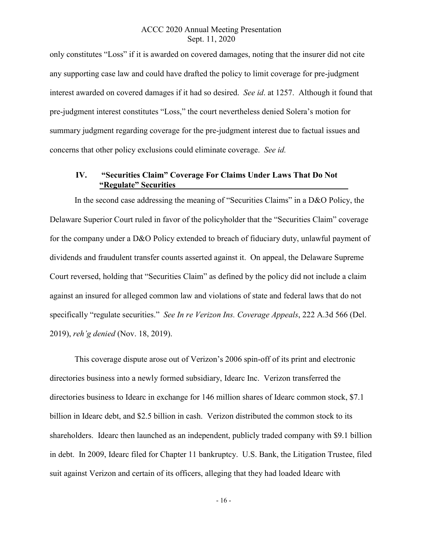only constitutes "Loss" if it is awarded on covered damages, noting that the insurer did not cite any supporting case law and could have drafted the policy to limit coverage for pre-judgment interest awarded on covered damages if it had so desired. *See id*. at 1257. Although it found that pre-judgment interest constitutes "Loss," the court nevertheless denied Solera's motion for summary judgment regarding coverage for the pre-judgment interest due to factual issues and concerns that other policy exclusions could eliminate coverage. *See id.*

#### **IV. "Securities Claim" Coverage For Claims Under Laws That Do Not "Regulate" Securities**

In the second case addressing the meaning of "Securities Claims" in a D&O Policy, the Delaware Superior Court ruled in favor of the policyholder that the "Securities Claim" coverage for the company under a D&O Policy extended to breach of fiduciary duty, unlawful payment of dividends and fraudulent transfer counts asserted against it. On appeal, the Delaware Supreme Court reversed, holding that "Securities Claim" as defined by the policy did not include a claim against an insured for alleged common law and violations of state and federal laws that do not specifically "regulate securities." *See In re Verizon Ins. Coverage Appeals*, 222 A.3d 566 (Del. 2019), *reh'g denied* (Nov. 18, 2019).

This coverage dispute arose out of Verizon's 2006 spin-off of its print and electronic directories business into a newly formed subsidiary, Idearc Inc. Verizon transferred the directories business to Idearc in exchange for 146 million shares of Idearc common stock, \$7.1 billion in Idearc debt, and \$2.5 billion in cash. Verizon distributed the common stock to its shareholders. Idearc then launched as an independent, publicly traded company with \$9.1 billion in debt. In 2009, Idearc filed for Chapter 11 bankruptcy. U.S. Bank, the Litigation Trustee, filed suit against Verizon and certain of its officers, alleging that they had loaded Idearc with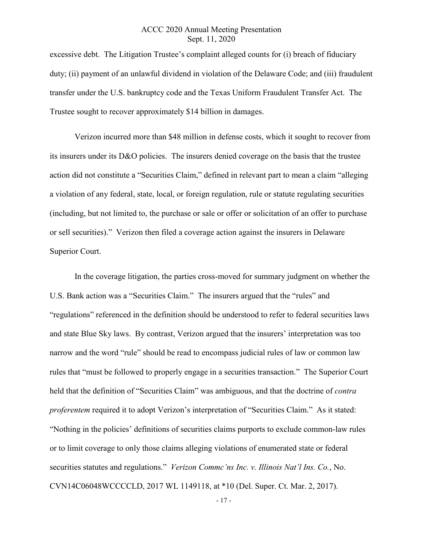excessive debt. The Litigation Trustee's complaint alleged counts for (i) breach of fiduciary duty; (ii) payment of an unlawful dividend in violation of the Delaware Code; and (iii) fraudulent transfer under the U.S. bankruptcy code and the Texas Uniform Fraudulent Transfer Act. The Trustee sought to recover approximately \$14 billion in damages.

Verizon incurred more than \$48 million in defense costs, which it sought to recover from its insurers under its D&O policies. The insurers denied coverage on the basis that the trustee action did not constitute a "Securities Claim," defined in relevant part to mean a claim "alleging a violation of any federal, state, local, or foreign regulation, rule or statute regulating securities (including, but not limited to, the purchase or sale or offer or solicitation of an offer to purchase or sell securities)." Verizon then filed a coverage action against the insurers in Delaware Superior Court.

In the coverage litigation, the parties cross-moved for summary judgment on whether the U.S. Bank action was a "Securities Claim." The insurers argued that the "rules" and "regulations" referenced in the definition should be understood to refer to federal securities laws and state Blue Sky laws. By contrast, Verizon argued that the insurers' interpretation was too narrow and the word "rule" should be read to encompass judicial rules of law or common law rules that "must be followed to properly engage in a securities transaction." The Superior Court held that the definition of "Securities Claim" was ambiguous, and that the doctrine of *contra proferentem* required it to adopt Verizon's interpretation of "Securities Claim." As it stated: "Nothing in the policies' definitions of securities claims purports to exclude common-law rules or to limit coverage to only those claims alleging violations of enumerated state or federal securities statutes and regulations." *Verizon Commc'ns Inc. v. Illinois Nat'l Ins. Co.*, No. CVN14C06048WCCCCLD, 2017 WL 1149118, at \*10 (Del. Super. Ct. Mar. 2, 2017).

- 17 -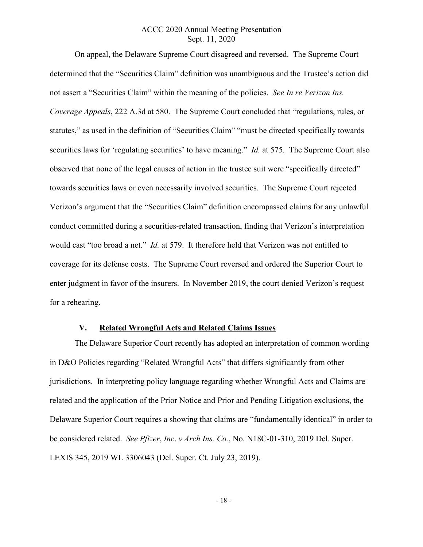On appeal, the Delaware Supreme Court disagreed and reversed. The Supreme Court determined that the "Securities Claim" definition was unambiguous and the Trustee's action did not assert a "Securities Claim" within the meaning of the policies. *See In re Verizon Ins. Coverage Appeals*, 222 A.3d at 580. The Supreme Court concluded that "regulations, rules, or statutes," as used in the definition of "Securities Claim" "must be directed specifically towards securities laws for 'regulating securities' to have meaning." *Id.* at 575. The Supreme Court also observed that none of the legal causes of action in the trustee suit were "specifically directed" towards securities laws or even necessarily involved securities. The Supreme Court rejected Verizon's argument that the "Securities Claim" definition encompassed claims for any unlawful conduct committed during a securities-related transaction, finding that Verizon's interpretation would cast "too broad a net." *Id.* at 579. It therefore held that Verizon was not entitled to coverage for its defense costs. The Supreme Court reversed and ordered the Superior Court to enter judgment in favor of the insurers. In November 2019, the court denied Verizon's request for a rehearing.

#### **V. Related Wrongful Acts and Related Claims Issues**

The Delaware Superior Court recently has adopted an interpretation of common wording in D&O Policies regarding "Related Wrongful Acts" that differs significantly from other jurisdictions. In interpreting policy language regarding whether Wrongful Acts and Claims are related and the application of the Prior Notice and Prior and Pending Litigation exclusions, the Delaware Superior Court requires a showing that claims are "fundamentally identical" in order to be considered related. *See Pfizer*, *Inc*. *v Arch Ins. Co.*, No. N18C-01-310, 2019 Del. Super. LEXIS 345, 2019 WL 3306043 (Del. Super. Ct. July 23, 2019).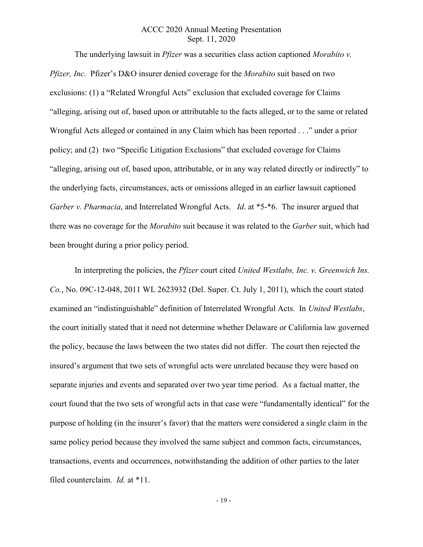The underlying lawsuit in *Pfizer* was a securities class action captioned *Morabito v. Pfizer, Inc.* Pfizer's D&O insurer denied coverage for the *Morabito* suit based on two exclusions: (1) a "Related Wrongful Acts" exclusion that excluded coverage for Claims "alleging, arising out of, based upon or attributable to the facts alleged, or to the same or related Wrongful Acts alleged or contained in any Claim which has been reported . . ." under a prior policy; and (2) two "Specific Litigation Exclusions" that excluded coverage for Claims "alleging, arising out of, based upon, attributable, or in any way related directly or indirectly" to the underlying facts, circumstances, acts or omissions alleged in an earlier lawsuit captioned *Garber v. Pharmacia*, and Interrelated Wrongful Acts. *Id*. at \*5-\*6. The insurer argued that there was no coverage for the *Morabito* suit because it was related to the *Garber* suit, which had been brought during a prior policy period.

In interpreting the policies, the *Pfizer* court cited *United Westlabs, Inc. v. Greenwich Ins. Co.*, No. 09C-12-048, 2011 WL 2623932 (Del. Super. Ct. July 1, 2011), which the court stated examined an "indistinguishable" definition of Interrelated Wrongful Acts. In *United Westlabs*, the court initially stated that it need not determine whether Delaware or California law governed the policy, because the laws between the two states did not differ. The court then rejected the insured's argument that two sets of wrongful acts were unrelated because they were based on separate injuries and events and separated over two year time period. As a factual matter, the court found that the two sets of wrongful acts in that case were "fundamentally identical" for the purpose of holding (in the insurer's favor) that the matters were considered a single claim in the same policy period because they involved the same subject and common facts, circumstances, transactions, events and occurrences, notwithstanding the addition of other parties to the later filed counterclaim. *Id.* at \*11.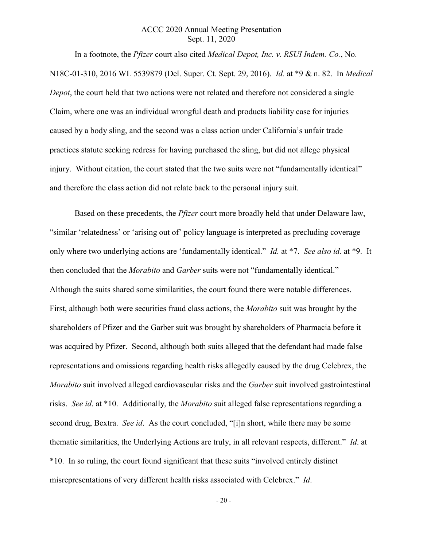In a footnote, the *Pfizer* court also cited *Medical Depot, Inc. v. RSUI Indem. Co.*, No. N18C-01-310, 2016 WL 5539879 (Del. Super. Ct. Sept. 29, 2016). *Id.* at \*9 & n. 82. In *Medical Depot*, the court held that two actions were not related and therefore not considered a single Claim, where one was an individual wrongful death and products liability case for injuries caused by a body sling, and the second was a class action under California's unfair trade practices statute seeking redress for having purchased the sling, but did not allege physical injury. Without citation, the court stated that the two suits were not "fundamentally identical" and therefore the class action did not relate back to the personal injury suit.

Based on these precedents, the *Pfizer* court more broadly held that under Delaware law, "similar 'relatedness' or 'arising out of' policy language is interpreted as precluding coverage only where two underlying actions are 'fundamentally identical." *Id.* at \*7. *See also id.* at \*9. It then concluded that the *Morabito* and *Garber* suits were not "fundamentally identical." Although the suits shared some similarities, the court found there were notable differences. First, although both were securities fraud class actions, the *Morabito* suit was brought by the shareholders of Pfizer and the Garber suit was brought by shareholders of Pharmacia before it was acquired by Pfizer. Second, although both suits alleged that the defendant had made false representations and omissions regarding health risks allegedly caused by the drug Celebrex, the *Morabito* suit involved alleged cardiovascular risks and the *Garber* suit involved gastrointestinal risks. *See id*. at \*10. Additionally, the *Morabito* suit alleged false representations regarding a second drug, Bextra. *See id*. As the court concluded, "[i]n short, while there may be some thematic similarities, the Underlying Actions are truly, in all relevant respects, different." *Id*. at \*10. In so ruling, the court found significant that these suits "involved entirely distinct misrepresentations of very different health risks associated with Celebrex." *Id*.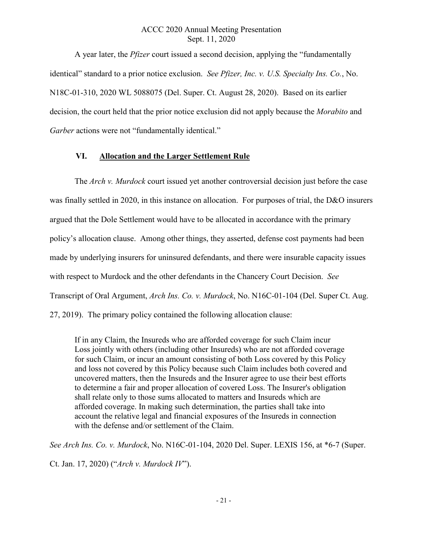A year later, the *Pfizer* court issued a second decision, applying the "fundamentally identical" standard to a prior notice exclusion. *See Pfizer, Inc. v. U.S. Specialty Ins. Co.*, No. N18C-01-310, 2020 WL 5088075 (Del. Super. Ct. August 28, 2020). Based on its earlier decision, the court held that the prior notice exclusion did not apply because the *Morabito* and *Garber* actions were not "fundamentally identical."

#### **VI. Allocation and the Larger Settlement Rule**

The *Arch v. Murdock* court issued yet another controversial decision just before the case was finally settled in 2020, in this instance on allocation. For purposes of trial, the D&O insurers argued that the Dole Settlement would have to be allocated in accordance with the primary policy's allocation clause. Among other things, they asserted, defense cost payments had been made by underlying insurers for uninsured defendants, and there were insurable capacity issues with respect to Murdock and the other defendants in the Chancery Court Decision. *See* Transcript of Oral Argument, *Arch Ins. Co. v. Murdock*, No. N16C-01-104 (Del. Super Ct. Aug. 27, 2019). The primary policy contained the following allocation clause:

If in any Claim, the Insureds who are afforded coverage for such Claim incur Loss jointly with others (including other Insureds) who are not afforded coverage for such Claim, or incur an amount consisting of both Loss covered by this Policy and loss not covered by this Policy because such Claim includes both covered and uncovered matters, then the Insureds and the Insurer agree to use their best efforts to determine a fair and proper allocation of covered Loss. The Insurer's obligation shall relate only to those sums allocated to matters and Insureds which are afforded coverage. In making such determination, the parties shall take into account the relative legal and financial exposures of the Insureds in connection with the defense and/or settlement of the Claim.

*See Arch Ins. Co. v. Murdock*, No. N16C-01-104, 2020 Del. Super. LEXIS 156, at \*6-7 (Super.

Ct. Jan. 17, 2020) ("*Arch v. Murdock IV*").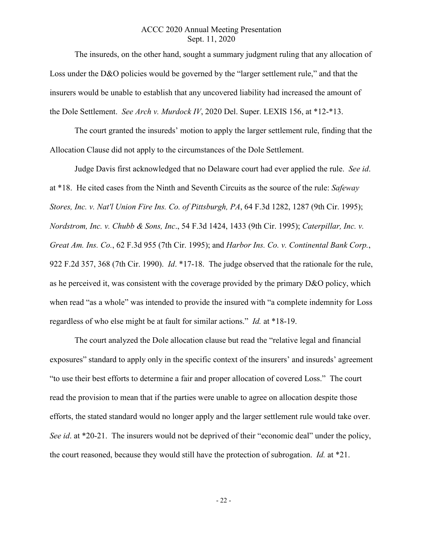The insureds, on the other hand, sought a summary judgment ruling that any allocation of Loss under the D&O policies would be governed by the "larger settlement rule," and that the insurers would be unable to establish that any uncovered liability had increased the amount of the Dole Settlement. *See Arch v. Murdock IV*, 2020 Del. Super. LEXIS 156, at \*12-\*13.

The court granted the insureds' motion to apply the larger settlement rule, finding that the Allocation Clause did not apply to the circumstances of the Dole Settlement.

Judge Davis first acknowledged that no Delaware court had ever applied the rule. *See id*. at \*18. He cited cases from the Ninth and Seventh Circuits as the source of the rule: *Safeway Stores, Inc. v. Nat'l Union Fire Ins. Co. of Pittsburgh, PA*, 64 F.3d 1282, 1287 (9th Cir. 1995); *Nordstrom, Inc. v. Chubb & Sons, Inc*., 54 F.3d 1424, 1433 (9th Cir. 1995); *Caterpillar, Inc. v. Great Am. Ins. Co.*, 62 F.3d 955 (7th Cir. 1995); and *Harbor Ins. Co. v. Continental Bank Corp.*, 922 F.2d 357, 368 (7th Cir. 1990). *Id*. \*17-18. The judge observed that the rationale for the rule, as he perceived it, was consistent with the coverage provided by the primary D&O policy, which when read "as a whole" was intended to provide the insured with "a complete indemnity for Loss regardless of who else might be at fault for similar actions." *Id.* at \*18-19.

The court analyzed the Dole allocation clause but read the "relative legal and financial exposures" standard to apply only in the specific context of the insurers' and insureds' agreement "to use their best efforts to determine a fair and proper allocation of covered Loss." The court read the provision to mean that if the parties were unable to agree on allocation despite those efforts, the stated standard would no longer apply and the larger settlement rule would take over. *See id.* at \*20-21. The insurers would not be deprived of their "economic deal" under the policy, the court reasoned, because they would still have the protection of subrogation. *Id.* at \*21.